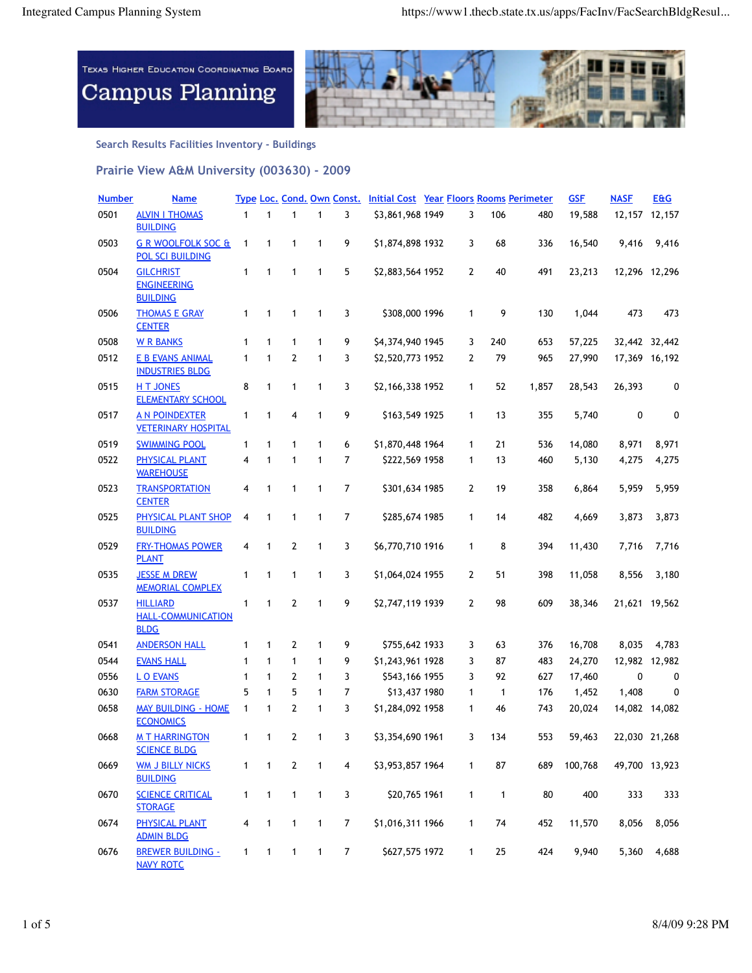

**Search Results Facilities Inventory - Buildings**

**Prairie View A&M University (003630) - 2009**

| <b>Number</b> | <u>Name</u>                                                 |              |              |                |              |                         | Type Loc. Cond. Own Const. Initial Cost Year Floors Rooms Perimeter |                |              |       | <b>GSF</b> | <b>NASF</b> | <b>E&amp;G</b>  |
|---------------|-------------------------------------------------------------|--------------|--------------|----------------|--------------|-------------------------|---------------------------------------------------------------------|----------------|--------------|-------|------------|-------------|-----------------|
| 0501          | <b>ALVIN I THOMAS</b><br><b>BUILDING</b>                    | $\mathbf{1}$ | $\mathbf{1}$ | $\mathbf{1}$   | 1            | 3                       | \$3,861,968 1949                                                    | 3              | 106          | 480   | 19,588     |             | 12, 157 12, 157 |
| 0503          | <b>G R WOOLFOLK SOC &amp;</b><br><b>POL SCI BUILDING</b>    | 1            | 1            | $\mathbf{1}$   | $\mathbf{1}$ | 9                       | \$1,874,898 1932                                                    | 3              | 68           | 336   | 16,540     | 9,416       | 9,416           |
| 0504          | <b>GILCHRIST</b><br><b>ENGINEERING</b><br><b>BUILDING</b>   | 1            | $\mathbf{1}$ | $\mathbf{1}$   | $\mathbf{1}$ | 5                       | \$2,883,564 1952                                                    | $\overline{2}$ | 40           | 491   | 23,213     |             | 12,296 12,296   |
| 0506          | <b>THOMAS E GRAY</b><br><b>CENTER</b>                       | 1            | 1            | 1              | 1            | 3                       | \$308,000 1996                                                      | 1              | 9            | 130   | 1,044      | 473         | 473             |
| 0508          | <b>W R BANKS</b>                                            | 1            | $\mathbf{1}$ | $\mathbf{1}$   | $\mathbf{1}$ | 9                       | \$4,374,940 1945                                                    | 3              | 240          | 653   | 57,225     |             | 32,442 32,442   |
| 0512          | E B EVANS ANIMAL<br><b>INDUSTRIES BLDG</b>                  | $\mathbf{1}$ | $\mathbf{1}$ | $\overline{2}$ | 1            | 3                       | \$2,520,773 1952                                                    | 2              | 79           | 965   | 27,990     |             | 17,369 16,192   |
| 0515          | <b>HT JONES</b><br><b>ELEMENTARY SCHOOL</b>                 | 8            | 1            | 1              | 1            | 3                       | \$2,166,338 1952                                                    | 1              | 52           | 1,857 | 28,543     | 26,393      | 0               |
| 0517          | <b>A N POINDEXTER</b><br><b>VETERINARY HOSPITAL</b>         | $\mathbf{1}$ | 1            | 4              | $\mathbf{1}$ | 9                       | \$163,549 1925                                                      | 1              | 13           | 355   | 5,740      | 0           | 0               |
| 0519          | <b>SWIMMING POOL</b>                                        | 1            | $\mathbf{1}$ | $\mathbf{1}$   | $\mathbf{1}$ | 6                       | \$1,870,448 1964                                                    | 1              | 21           | 536   | 14,080     | 8,971       | 8,971           |
| 0522          | PHYSICAL PLANT<br><b>WAREHOUSE</b>                          | 4            | 1            | $\mathbf{1}$   | $\mathbf{1}$ | 7                       | \$222,569 1958                                                      | 1              | 13           | 460   | 5,130      | 4,275       | 4,275           |
| 0523          | <b>TRANSPORTATION</b><br><b>CENTER</b>                      | 4            | 1            | $\mathbf{1}$   | $\mathbf{1}$ | 7                       | \$301,634 1985                                                      | 2              | 19           | 358   | 6,864      | 5,959       | 5,959           |
| 0525          | PHYSICAL PLANT SHOP<br><b>BUILDING</b>                      | 4            | 1            | $\mathbf{1}$   | $\mathbf{1}$ | 7                       | \$285,674 1985                                                      | 1              | 14           | 482   | 4,669      | 3,873       | 3,873           |
| 0529          | <b>FRY-THOMAS POWER</b><br><b>PLANT</b>                     | 4            | 1            | $\mathbf{2}$   | 1            | 3                       | \$6,770,710 1916                                                    | 1              | 8            | 394   | 11,430     | 7,716       | 7,716           |
| 0535          | <b>JESSE M DREW</b><br><b>MEMORIAL COMPLEX</b>              | 1            | 1            | 1              | 1            | 3                       | \$1,064,024 1955                                                    | $\overline{2}$ | 51           | 398   | 11,058     | 8,556       | 3,180           |
| 0537          | <b>HILLIARD</b><br><b>HALL-COMMUNICATION</b><br><b>BLDG</b> | 1            | 1            | $\mathbf{2}$   | 1            | 9                       | \$2,747,119 1939                                                    | $\mathbf{2}$   | 98           | 609   | 38,346     |             | 21,621 19,562   |
| 0541          | <b>ANDERSON HALL</b>                                        | 1            | $\mathbf{1}$ | 2              | 1            | 9                       | \$755,642 1933                                                      | 3              | 63           | 376   | 16,708     | 8,035       | 4,783           |
| 0544          | <b>EVANS HALL</b>                                           | $\mathbf{1}$ | 1            | $\mathbf{1}$   | $\mathbf{1}$ | 9                       | \$1,243,961 1928                                                    | 3              | 87           | 483   | 24,270     |             | 12,982 12,982   |
| 0556          | <b>LO EVANS</b>                                             | 1            | $\mathbf{1}$ | 2              | 1            | 3                       | \$543,166 1955                                                      | 3              | 92           | 627   | 17,460     | 0           | 0               |
| 0630          | <b>FARM STORAGE</b>                                         | 5            | 1            | 5              | 1            | 7                       | \$13,437 1980                                                       | 1              | 1            | 176   | 1,452      | 1,408       | 0               |
| 0658          | <b>MAY BUILDING - HOME</b><br><b>ECONOMICS</b>              | 1            | 1            | 2              | 1            | 3                       | \$1,284,092 1958                                                    | 1              | 46           | 743   | 20,024     |             | 14,082 14,082   |
| 0668          | <b>MT HARRINGTON</b><br><b>SCIENCE BLDG</b>                 | 1            | 1            | $\mathbf{2}$   | 1            | 3                       | \$3,354,690 1961                                                    | 3              | 134          | 553   | 59,463     |             | 22,030 21,268   |
| 0669          | <b>WM J BILLY NICKS</b><br><b>BUILDING</b>                  | 1            | 1            | $\mathbf{2}$   | $\mathbf{1}$ | $\overline{\mathbf{4}}$ | \$3,953,857 1964                                                    | 1              | 87           | 689   | 100,768    |             | 49,700 13,923   |
| 0670          | <b>SCIENCE CRITICAL</b><br><b>STORAGE</b>                   | $\mathbf{1}$ | $\mathbf{1}$ | $\mathbf{1}$   | $\mathbf{1}$ | 3                       | \$20,765 1961                                                       | $\mathbf{1}$   | $\mathbf{1}$ | 80    | 400        | 333         | 333             |
| 0674          | <b>PHYSICAL PLANT</b><br><b>ADMIN BLDG</b>                  | 4            | 1            | $\mathbf{1}$   | $\mathbf{1}$ | $\boldsymbol{7}$        | \$1,016,311 1966                                                    | 1              | 74           | 452   | 11,570     | 8,056       | 8,056           |
| 0676          | <b>BREWER BUILDING -</b><br><b>NAVY ROTC</b>                | 1            | $\mathbf{1}$ | $\mathbf{1}$   | $\mathbf{1}$ | $\overline{7}$          | \$627,575 1972                                                      | 1              | $25\,$       | 424   | 9,940      | 5,360       | 4,688           |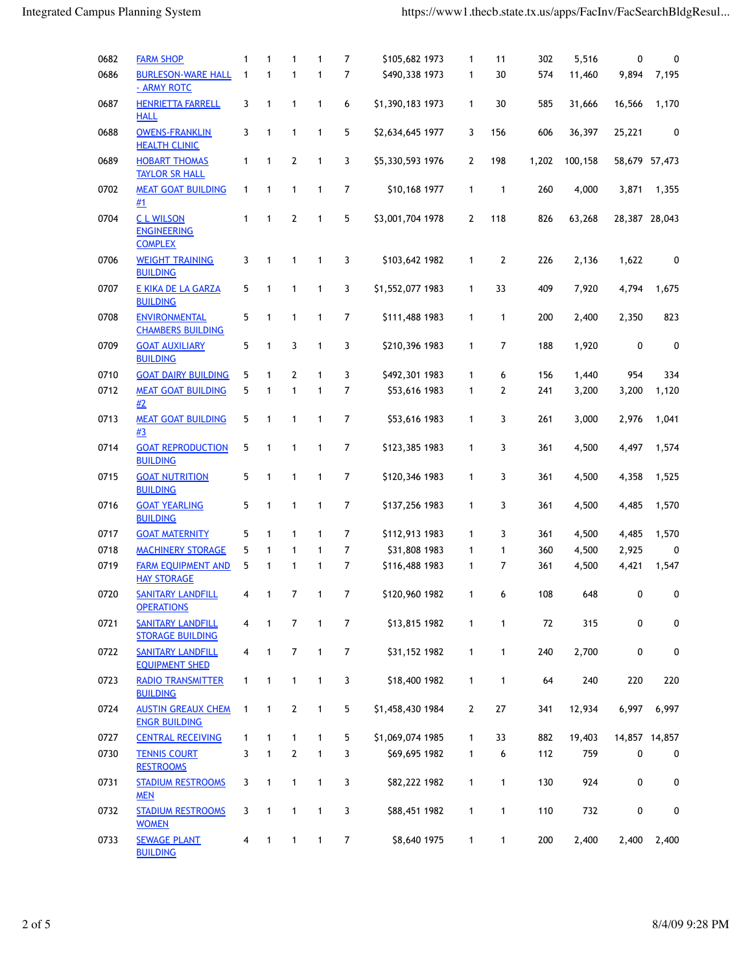| 0682 | <b>FARM SHOP</b>                                        | 1            | $\mathbf{1}$ | 1              | $\mathbf{1}$ | 7              | \$105,682 1973   | 1              | 11           | 302   | 5,516   | 0             | 0     |
|------|---------------------------------------------------------|--------------|--------------|----------------|--------------|----------------|------------------|----------------|--------------|-------|---------|---------------|-------|
| 0686 | <b>BURLESON-WARE HALL</b><br>- ARMY ROTC                | $\mathbf{1}$ | $\mathbf{1}$ | $\mathbf{1}$   | $\mathbf{1}$ | $\overline{7}$ | \$490,338 1973   | 1              | 30           | 574   | 11,460  | 9,894         | 7,195 |
| 0687 | <b>HENRIETTA FARRELL</b><br><b>HALL</b>                 | 3            | 1            | $\mathbf{1}$   | 1            | 6              | \$1,390,183 1973 | 1              | 30           | 585   | 31,666  | 16,566        | 1,170 |
| 0688 | <b>OWENS-FRANKLIN</b><br><b>HEALTH CLINIC</b>           | 3            | 1            | $\mathbf{1}$   | $\mathbf{1}$ | 5              | \$2,634,645 1977 | 3              | 156          | 606   | 36,397  | 25,221        | 0     |
| 0689 | <b>HOBART THOMAS</b><br><b>TAYLOR SR HALL</b>           | 1            | 1            | $\mathbf{2}$   | 1            | 3              | \$5,330,593 1976 | 2              | 198          | 1,202 | 100,158 | 58,679 57,473 |       |
| 0702 | <b>MEAT GOAT BUILDING</b><br>#1                         | 1            | 1            | $\mathbf{1}$   | $\mathbf{1}$ | 7              | \$10,168 1977    | 1              | 1            | 260   | 4,000   | 3,871         | 1,355 |
| 0704 | <b>CLWILSON</b><br><b>ENGINEERING</b><br><b>COMPLEX</b> | 1            | $\mathbf{1}$ | $\overline{2}$ | $\mathbf{1}$ | 5              | \$3,001,704 1978 | $\overline{2}$ | 118          | 826   | 63,268  | 28,387 28,043 |       |
| 0706 | <b>WEIGHT TRAINING</b><br><b>BUILDING</b>               | 3            | $\mathbf{1}$ | $\mathbf{1}$   | $\mathbf{1}$ | 3              | \$103,642 1982   | 1              | $\mathbf{2}$ | 226   | 2,136   | 1,622         | 0     |
| 0707 | E KIKA DE LA GARZA<br><b>BUILDING</b>                   | 5            | 1            | $\mathbf{1}$   | $\mathbf{1}$ | 3              | \$1,552,077 1983 | 1              | 33           | 409   | 7,920   | 4,794         | 1,675 |
| 0708 | <b>ENVIRONMENTAL</b><br><b>CHAMBERS BUILDING</b>        | 5            | 1            | $\mathbf{1}$   | $\mathbf{1}$ | $\overline{7}$ | \$111,488 1983   | 1              | 1            | 200   | 2,400   | 2,350         | 823   |
| 0709 | <b>GOAT AUXILIARY</b><br><b>BUILDING</b>                | 5            | 1            | 3              | 1            | 3              | \$210,396 1983   | 1              | 7            | 188   | 1,920   | 0             | 0     |
| 0710 | <b>GOAT DAIRY BUILDING</b>                              | 5            | $\mathbf{1}$ | $\mathbf{2}$   | $\mathbf{1}$ | 3              | \$492,301 1983   | 1              | 6            | 156   | 1,440   | 954           | 334   |
| 0712 | <b>MEAT GOAT BUILDING</b><br>#2                         | 5            | 1            | 1              | $\mathbf{1}$ | 7              | \$53,616 1983    | 1              | 2            | 241   | 3,200   | 3,200         | 1,120 |
| 0713 | <b>MEAT GOAT BUILDING</b><br>#3                         | 5            | 1            | $\mathbf{1}$   | $\mathbf{1}$ | 7              | \$53,616 1983    | 1              | 3            | 261   | 3,000   | 2,976         | 1,041 |
| 0714 | <b>GOAT REPRODUCTION</b><br><b>BUILDING</b>             | 5            | 1            | 1              | $\mathbf{1}$ | 7              | \$123,385 1983   | 1              | 3            | 361   | 4,500   | 4,497         | 1,574 |
| 0715 | <b>GOAT NUTRITION</b><br><b>BUILDING</b>                | 5            | 1            | $\mathbf{1}$   | $\mathbf{1}$ | 7              | \$120,346 1983   | 1              | 3            | 361   | 4,500   | 4,358         | 1,525 |
| 0716 | <b>GOAT YEARLING</b><br><b>BUILDING</b>                 | 5            | 1            | 1              | $\mathbf{1}$ | 7              | \$137,256 1983   | 1              | 3            | 361   | 4,500   | 4,485         | 1,570 |
| 0717 | <b>GOAT MATERNITY</b>                                   | 5            | 1            | $\mathbf{1}$   | $\mathbf{1}$ | 7              | \$112,913 1983   | 1              | 3            | 361   | 4,500   | 4,485         | 1,570 |
| 0718 | <b>MACHINERY STORAGE</b>                                | 5            | 1            | $\mathbf{1}$   | $\mathbf{1}$ | 7              | \$31,808 1983    | 1              | 1            | 360   | 4,500   | 2,925         | 0     |
| 0719 | <b>FARM EQUIPMENT AND</b><br><b>HAY STORAGE</b>         | 5            | 1            | $\mathbf{1}$   | $\mathbf{1}$ | 7              | \$116,488 1983   | 1              | 7            | 361   | 4,500   | 4,421         | 1,547 |
| 0720 | <b>SANITARY LANDFILL</b><br><b>OPERATIONS</b>           | 4            | $\mathbf{1}$ | $\overline{7}$ | $\mathbf{1}$ | 7              | \$120,960 1982   | 1              | 6            | 108   | 648     | 0             | 0     |
| 0721 | <b>SANITARY LANDFILL</b><br><b>STORAGE BUILDING</b>     | 4            | 1            | $\overline{7}$ | $\mathbf{1}$ | 7              | \$13,815 1982    | $\mathbf{1}$   | $\mathbf{1}$ | 72    | 315     | 0             | 0     |
| 0722 | <b>SANITARY LANDFILL</b><br><b>EQUIPMENT SHED</b>       | 4            | $\mathbf{1}$ | $\overline{7}$ | $\mathbf{1}$ | $\overline{7}$ | \$31,152 1982    | $\mathbf{1}$   | 1            | 240   | 2,700   | 0             | 0     |
| 0723 | <b>RADIO TRANSMITTER</b><br><b>BUILDING</b>             | $\mathbf{1}$ | 1            | 1              | 1            | 3              | \$18,400 1982    | $\mathbf{1}$   | 1            | 64    | 240     | 220           | 220   |
| 0724 | <b>AUSTIN GREAUX CHEM</b><br><b>ENGR BUILDING</b>       | 1            | $\mathbf{1}$ | $\mathbf{2}$   | 1            | 5              | \$1,458,430 1984 | $\overline{2}$ | 27           | 341   | 12,934  | 6,997         | 6,997 |
| 0727 | <b>CENTRAL RECEIVING</b>                                | 1            | $\mathbf{1}$ | $\mathbf{1}$   | $\mathbf{1}$ | 5              | \$1,069,074 1985 | 1              | 33           | 882   | 19,403  | 14,857 14,857 |       |
| 0730 | <b>TENNIS COURT</b><br><b>RESTROOMS</b>                 | 3            | $\mathbf{1}$ | $\mathbf{2}$   | $\mathbf{1}$ | 3              | \$69,695 1982    | 1              | 6            | 112   | 759     | 0             | 0     |
| 0731 | <b>STADIUM RESTROOMS</b><br><b>MEN</b>                  | 3            | $\mathbf{1}$ | 1              | 1            | 3              | \$82,222 1982    | 1              | 1            | 130   | 924     | 0             | 0     |
| 0732 | <b>STADIUM RESTROOMS</b><br><b>WOMEN</b>                | 3            | $\mathbf{1}$ | 1              | 1            | 3              | \$88,451 1982    | 1              | 1            | 110   | 732     | 0             | 0     |
| 0733 | <b>SEWAGE PLANT</b><br><b>BUILDING</b>                  | 4            | $\mathbf{1}$ | $\mathbf{1}$   | $\mathbf{1}$ | $\overline{7}$ | \$8,640 1975     | $\mathbf{1}$   | $\mathbf{1}$ | 200   | 2,400   | 2,400         | 2,400 |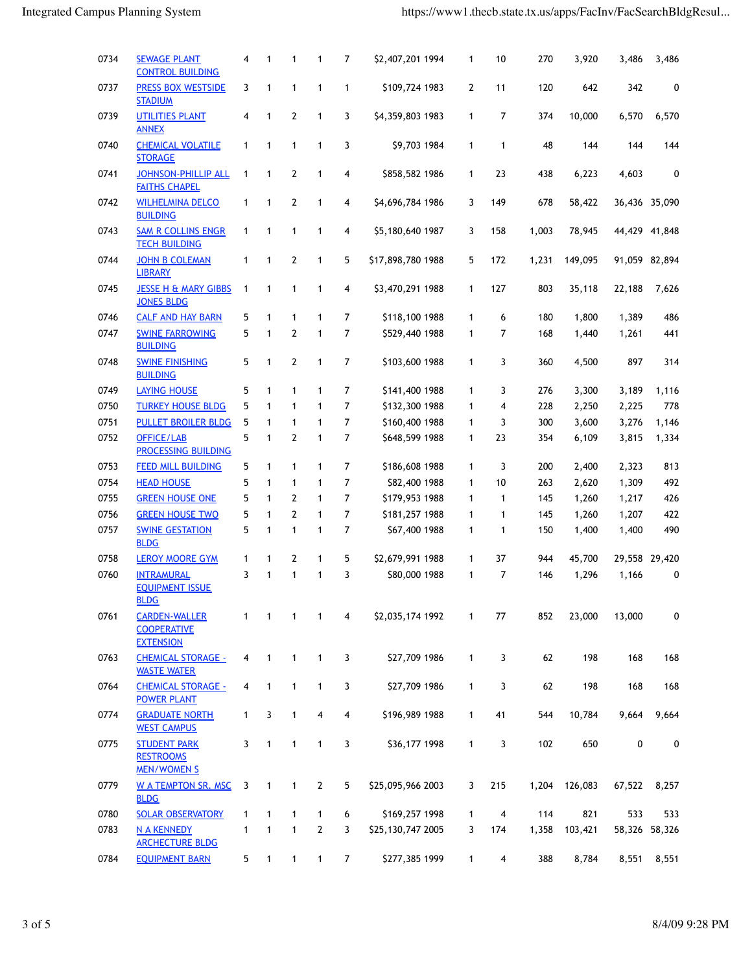| 0734 | <b>SEWAGE PLANT</b><br><b>CONTROL BUILDING</b>                 | 4            | 1                          | 1              | 1              | 7              | \$2,407,201 1994  | 1              | 10             | 270   | 3,920         | 3,486  | 3,486         |
|------|----------------------------------------------------------------|--------------|----------------------------|----------------|----------------|----------------|-------------------|----------------|----------------|-------|---------------|--------|---------------|
| 0737 | <b>PRESS BOX WESTSIDE</b><br><b>STADIUM</b>                    | 3            | 1                          | $\mathbf{1}$   | 1              | 1              | \$109,724 1983    | $\overline{2}$ | 11             | 120   | 642           | 342    | 0             |
| 0739 | <b>UTILITIES PLANT</b><br><b>ANNEX</b>                         | 4            | 1                          | $\overline{2}$ | 1              | 3              | \$4,359,803 1983  | $\mathbf{1}$   | $\overline{7}$ | 374   | 10,000        | 6,570  | 6,570         |
| 0740 | <b>CHEMICAL VOLATILE</b><br><b>STORAGE</b>                     | 1            | 1                          | $\mathbf{1}$   | 1              | 3              | \$9,703 1984      | 1              | 1              | 48    | 144           | 144    | 144           |
| 0741 | <b>JOHNSON-PHILLIP ALL</b><br><b>FAITHS CHAPEL</b>             | 1            | 1                          | 2              | 1              | 4              | \$858,582 1986    | 1              | 23             | 438   | 6,223         | 4,603  | 0             |
| 0742 | <b>WILHELMINA DELCO</b><br><b>BUILDING</b>                     | 1            | 1                          | 2              | 1              | 4              | \$4,696,784 1986  | 3              | 149            | 678   | 58,422        |        | 36,436 35,090 |
| 0743 | <b>SAM R COLLINS ENGR</b><br><b>TECH BUILDING</b>              | $\mathbf{1}$ | $\mathbf{1}$               | $\mathbf{1}$   | 1              | 4              | \$5,180,640 1987  | 3              | 158            | 1,003 | 78,945        |        | 44,429 41,848 |
| 0744 | <b>JOHN B COLEMAN</b><br><b>LIBRARY</b>                        | 1            | 1                          | 2              | 1              | 5              | \$17,898,780 1988 | 5              | 172            | 1,231 | 149,095       |        | 91,059 82,894 |
| 0745 | <b>JESSE H &amp; MARY GIBBS</b><br><b>JONES BLDG</b>           | 1            | 1                          | $\mathbf{1}$   | 1              | 4              | \$3,470,291 1988  | 1              | 127            | 803   | 35,118        | 22,188 | 7,626         |
| 0746 | <b>CALF AND HAY BARN</b>                                       | 5            | $\mathbf{1}$               | $\mathbf{1}$   | 1              | 7              | \$118,100 1988    | 1              | 6              | 180   | 1,800         | 1,389  | 486           |
| 0747 | <b>SWINE FARROWING</b><br><b>BUILDING</b>                      | 5            | $\mathbf{1}$               | 2              | 1              | 7              | \$529,440 1988    | 1              | 7              | 168   | 1,440         | 1,261  | 441           |
| 0748 | <b>SWINE FINISHING</b><br><b>BUILDING</b>                      | 5            | 1                          | 2              | 1              | 7              | \$103,600 1988    | 1              | 3              | 360   | 4,500         | 897    | 314           |
| 0749 | <b>LAYING HOUSE</b>                                            | 5            | 1                          | $\mathbf{1}$   | 1              | 7              | \$141,400 1988    | 1              | 3              | 276   | 3,300         | 3,189  | 1,116         |
| 0750 | <b>TURKEY HOUSE BLDG</b>                                       | 5            | $\mathbf{1}$               | $\mathbf{1}$   | 1              | 7              | \$132,300 1988    | 1              | 4              | 228   | 2,250         | 2,225  | 778           |
| 0751 | <b>PULLET BROILER BLDG</b>                                     | 5            | $\mathbf{1}$               | $\mathbf{1}$   | 1              | 7              | \$160,400 1988    | 1              | 3              | 300   | 3,600         | 3,276  | 1,146         |
| 0752 | OFFICE/LAB<br><b>PROCESSING BUILDING</b>                       | 5            | $\mathbf{1}$               | $\overline{2}$ | 1              | $\overline{7}$ | \$648,599 1988    | 1              | 23             | 354   | 6,109         | 3,815  | 1,334         |
| 0753 | <b>FEED MILL BUILDING</b>                                      | 5            | 1                          | $\mathbf{1}$   | 1              | 7              | \$186,608 1988    | 1              | 3              | 200   | 2,400         | 2,323  | 813           |
| 0754 | <b>HEAD HOUSE</b>                                              | 5            | $\mathbf{1}$               | $\mathbf{1}$   | 1              | $\overline{7}$ | \$82,400 1988     | 1              | 10             | 263   | 2,620         | 1,309  | 492           |
| 0755 | <b>GREEN HOUSE ONE</b>                                         | 5            | $\mathbf{1}$               | 2              | $\mathbf{1}$   | $\overline{7}$ | \$179,953 1988    | 1              | 1              | 145   | 1,260         | 1,217  | 426           |
| 0756 | <b>GREEN HOUSE TWO</b>                                         | 5            | $\mathbf{1}$               | $\overline{2}$ | $\mathbf{1}$   | 7              | \$181,257 1988    | 1              | $\mathbf{1}$   | 145   | 1,260         | 1,207  | 422           |
| 0757 | <b>SWINE GESTATION</b><br><b>BLDG</b>                          | 5            | 1                          | $\mathbf{1}$   | 1              | 7              | \$67,400 1988     | 1              | 1              | 150   | 1,400         | 1,400  | 490           |
| 0758 | <b>LEROY MOORE GYM</b>                                         | 1            | 1                          | 2              | 1              | 5              | \$2,679,991 1988  | 1              | 37             | 944   | 45,700        |        | 29,558 29,420 |
| 0760 | <b>INTRAMURAL</b><br><b>EQUIPMENT ISSUE</b><br><b>BLDG</b>     | 3            | $\mathbf{1}$               | $\mathbf{1}$   | 1              | 3              | \$80,000 1988     | 1              | 7              | 146   | 1,296         | 1,166  | 0             |
| 0761 | <b>CARDEN-WALLER</b><br><b>COOPERATIVE</b><br><b>EXTENSION</b> | $\mathbf{1}$ | $\overline{\phantom{0}}$ 1 | 1              | $\overline{1}$ | 4              | \$2,035,174 1992  | $\mathbf{1}$   | 77             | 852   | 23,000        | 13,000 | 0             |
| 0763 | <b>CHEMICAL STORAGE -</b><br><b>WASTE WATER</b>                | 4            | $\mathbf{1}$               | $\mathbf{1}$   | 1              | 3              | \$27,709 1986     | $\mathbf{1}$   | 3              | 62    | 198           | 168    | 168           |
| 0764 | <b>CHEMICAL STORAGE -</b><br><b>POWER PLANT</b>                | 4            | $\mathbf{1}$               | $\mathbf{1}$   | 1              | 3              | \$27,709 1986     | $\mathbf{1}$   | 3              | 62    | 198           | 168    | 168           |
| 0774 | <b>GRADUATE NORTH</b><br><b>WEST CAMPUS</b>                    | $\mathbf{1}$ | 3                          | $\mathbf{1}$   | 4              | 4              | \$196,989 1988    | $\mathbf{1}$   | 41             | 544   | 10,784        | 9,664  | 9,664         |
| 0775 | <b>STUDENT PARK</b><br><b>RESTROOMS</b><br><b>MEN/WOMEN S</b>  | 3            | $\mathbf{1}$               | $\mathbf{1}$   | 1              | 3              | \$36,177 1998     | $\mathbf{1}$   | 3              | 102   | 650           | 0      | 0             |
| 0779 | <b>W A TEMPTON SR. MSC</b><br><b>BLDG</b>                      | 3            | 1                          | $\mathbf{1}$   | $\overline{2}$ | 5              | \$25,095,966 2003 | 3              | 215            |       | 1,204 126,083 | 67,522 | 8,257         |
| 0780 | <b>SOLAR OBSERVATORY</b>                                       | 1            | 1                          | 1              | $\mathbf{1}$   | 6              | \$169,257 1998    | $\mathbf{1}$   | $\overline{4}$ | 114   | 821           | 533    | 533           |
| 0783 | <b>N A KENNEDY</b><br><b>ARCHECTURE BLDG</b>                   | 1            | 1                          | $\mathbf{1}$   | $\mathbf{2}$   | 3              | \$25,130,747 2005 | 3              | 174            | 1,358 | 103,421       |        | 58,326 58,326 |
| 0784 | <b>EQUIPMENT BARN</b>                                          | 5            | $\mathbf{1}$               | 1              | 1              | $\overline{7}$ | \$277,385 1999    | $\mathbf{1}$   | $\overline{4}$ | 388   | 8,784         | 8,551  | 8,551         |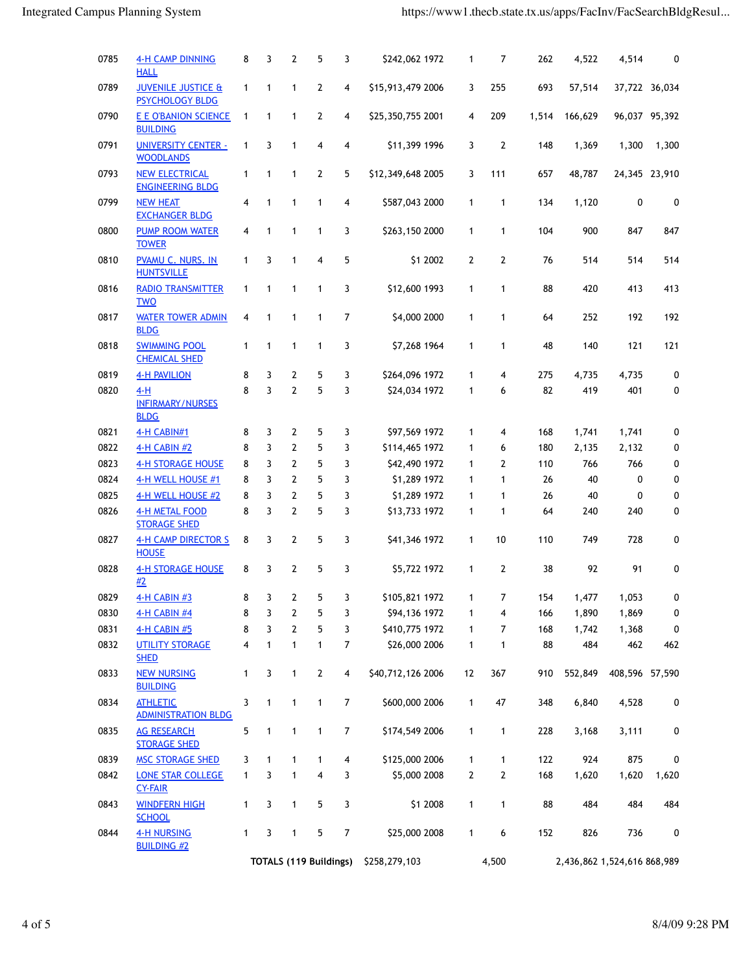| 0785 | <b>4-H CAMP DINNING</b><br><b>HALL</b>                  | 8            | 3            | 2              | 5              | 3                       | \$242,062 1972                              | 1              | 7              | 262   | 4,522                       | 4,514          | 0                |  |  |
|------|---------------------------------------------------------|--------------|--------------|----------------|----------------|-------------------------|---------------------------------------------|----------------|----------------|-------|-----------------------------|----------------|------------------|--|--|
| 0789 | <b>JUVENILE JUSTICE &amp;</b><br><b>PSYCHOLOGY BLDG</b> | $\mathbf{1}$ | $\mathbf{1}$ | $\mathbf{1}$   | $\overline{2}$ | 4                       | \$15,913,479 2006                           | 3              | 255            | 693   | 57,514                      |                | 37,722 36,034    |  |  |
| 0790 | E E O'BANION SCIENCE<br><b>BUILDING</b>                 | 1            | 1            | 1              | 2              | 4                       | \$25,350,755 2001                           | 4              | 209            | 1,514 | 166,629                     |                | 96,037 95,392    |  |  |
| 0791 | <b>UNIVERSITY CENTER -</b><br><b>WOODLANDS</b>          | 1            | 3            | $\mathbf{1}$   | 4              | 4                       | \$11,399 1996                               | 3              | $\overline{2}$ | 148   | 1,369                       | 1,300          | 1,300            |  |  |
| 0793 | <b>NEW ELECTRICAL</b><br><b>ENGINEERING BLDG</b>        | 1            | 1            | $\mathbf{1}$   | 2              | 5                       | \$12,349,648 2005                           | 3              | 111            | 657   | 48,787                      |                | 24,345 23,910    |  |  |
| 0799 | <b>NEW HEAT</b><br><b>EXCHANGER BLDG</b>                | 4            | $\mathbf{1}$ | 1              | 1              | 4                       | \$587,043 2000                              | 1              | $\mathbf{1}$   | 134   | 1,120                       | 0              | 0                |  |  |
| 0800 | <b>PUMP ROOM WATER</b><br><b>TOWER</b>                  | 4            | $\mathbf{1}$ | 1              | 1              | 3                       | \$263,150 2000                              | $\mathbf{1}$   | $\mathbf{1}$   | 104   | 900                         | 847            | 847              |  |  |
| 0810 | <b>PVAMU C. NURS. IN</b><br><b>HUNTSVILLE</b>           | $\mathbf{1}$ | 3            | 1              | 4              | 5                       | \$1 2002                                    | $\overline{2}$ | 2              | 76    | 514                         | 514            | 514              |  |  |
| 0816 | <b>RADIO TRANSMITTER</b><br><b>TWO</b>                  | $\mathbf{1}$ | 1            | $\mathbf{1}$   | 1              | 3                       | \$12,600 1993                               | 1              | 1              | 88    | 420                         | 413            | 413              |  |  |
| 0817 | <b>WATER TOWER ADMIN</b><br><b>BLDG</b>                 | 4            | 1            | 1              | 1              | 7                       | \$4,000 2000                                | 1              | 1              | 64    | 252                         | 192            | 192              |  |  |
| 0818 | <b>SWIMMING POOL</b><br><b>CHEMICAL SHED</b>            | 1            | 1            | 1              | 1              | 3                       | \$7,268 1964                                | $\mathbf{1}$   | $\mathbf{1}$   | 48    | 140                         | 121            | 121              |  |  |
| 0819 | <b>4-H PAVILION</b>                                     | 8            | 3            | $\mathbf{2}$   | 5              | 3                       | \$264,096 1972                              | $\mathbf{1}$   | 4              | 275   | 4,735                       | 4,735          | 0                |  |  |
| 0820 | $4-H$<br><b>INFIRMARY/NURSES</b><br><b>BLDG</b>         | 8            | 3            | $\overline{2}$ | 5              | 3                       | \$24,034 1972                               | $\mathbf{1}$   | 6              | 82    | 419                         | 401            | 0                |  |  |
| 0821 | 4-H CABIN#1                                             | 8            | 3            | $\mathbf{2}$   | 5              | 3                       | \$97,569 1972                               | 1              | 4              | 168   | 1,741                       | 1,741          | 0                |  |  |
| 0822 | 4-H CABIN #2                                            | 8            | 3            | $\mathbf{2}$   | 5              | 3                       | \$114,465 1972                              | 1              | 6              | 180   | 2,135                       | 2,132          | 0                |  |  |
| 0823 | <b>4-H STORAGE HOUSE</b>                                | 8            | 3            | $\overline{2}$ | 5              | 3                       | \$42,490 1972                               | 1              | 2              | 110   | 766                         | 766            | 0                |  |  |
| 0824 | 4-H WELL HOUSE #1                                       | 8            | 3            | $\overline{2}$ | 5              | 3                       | \$1,289 1972                                | 1              | $\mathbf{1}$   | 26    | 40                          | 0              | 0                |  |  |
| 0825 | 4-H WELL HOUSE #2                                       | 8            | 3            | $\overline{2}$ | 5              | 3                       | \$1,289 1972                                | 1              | 1              | 26    | 40                          | $\mathbf 0$    | 0                |  |  |
| 0826 | 4-H METAL FOOD<br><b>STORAGE SHED</b>                   | 8            | 3            | $\overline{2}$ | 5              | 3                       | \$13,733 1972                               | 1              | $\mathbf{1}$   | 64    | 240                         | 240            | 0                |  |  |
| 0827 | <b>4-H CAMP DIRECTOR S</b><br><b>HOUSE</b>              | 8            | 3            | 2              | 5              | 3                       | \$41,346 1972                               | 1              | 10             | 110   | 749                         | 728            | 0                |  |  |
| 0828 | <b>4-H STORAGE HOUSE</b><br>#2                          | 8            | 3            | $\overline{2}$ | 5              | 3                       | \$5,722 1972                                | 1              | 2              | 38    | 92                          | 91             | 0                |  |  |
| 0829 | 4-H CABIN #3                                            | 8            | 3            | $\mathbf{2}$   | 5              | 3                       | \$105,821 1972                              | $\blacksquare$ | 7              | 154   | 1,477                       | 1,053          | 0                |  |  |
| 0830 | 4-H CABIN #4                                            | 8            | 3            | $\mathbf{2}$   | 5              | 3                       | \$94,136 1972                               | 1              | 4              | 166   | 1,890                       | 1,869          | 0                |  |  |
| 0831 | 4-H CABIN #5                                            | 8            | 3            | $\overline{2}$ | 5              | 3                       | \$410,775 1972                              | 1              | 7              | 168   | 1,742                       | 1,368          | 0                |  |  |
| 0832 | <b>UTILITY STORAGE</b><br><b>SHED</b>                   | 4            | $\mathbf{1}$ | $\mathbf{1}$   | $\mathbf{1}$   | 7                       | \$26,000 2006                               | $\mathbf{1}$   | 1              | 88    | 484                         | 462            | 462              |  |  |
| 0833 | <b>NEW NURSING</b><br><b>BUILDING</b>                   | 1            | 3            | $\mathbf{1}$   | $\overline{2}$ | $\overline{4}$          | \$40,712,126 2006                           | 12             | 367            | 910   | 552,849                     | 408,596 57,590 |                  |  |  |
| 0834 | <b>ATHLETIC</b><br><b>ADMINISTRATION BLDG</b>           | 3            | $\mathbf{1}$ | $\mathbf{1}$   | $\mathbf{1}$   | $\overline{7}$          | \$600,000 2006                              | $\mathbf{1}$   | 47             | 348   | 6,840                       | 4,528          | 0                |  |  |
| 0835 | <b>AG RESEARCH</b><br><b>STORAGE SHED</b>               | 5            | $\mathbf{1}$ | $\mathbf{1}$   | $\mathbf{1}$   | $\overline{7}$          | \$174,549 2006                              | $\mathbf{1}$   | $\mathbf{1}$   | 228   | 3,168                       | 3,111          | 0                |  |  |
| 0839 | <b>MSC STORAGE SHED</b>                                 | 3            | $\mathbf{1}$ | $\mathbf{1}$   | $\mathbf{1}$   | $\overline{\mathbf{4}}$ | \$125,000 2006                              | 1              | 1              | 122   | 924                         | 875            | 0                |  |  |
| 0842 | <b>LONE STAR COLLEGE</b><br><b>CY-FAIR</b>              | $\mathbf{1}$ | 3            | $\mathbf{1}$   | 4              | 3                       | \$5,000 2008                                | $\mathbf{2}$   | $\mathbf{2}$   | 168   | 1,620                       | 1,620          | 1,620            |  |  |
| 0843 | <b>WINDFERN HIGH</b><br><b>SCHOOL</b>                   | 1            | 3            | $\mathbf{1}$   | 5              | 3                       | \$1 2008                                    | $\mathbf{1}$   | $\mathbf{1}$   | 88    | 484                         | 484            | 484              |  |  |
| 0844 | <b>4-H NURSING</b><br><b>BUILDING #2</b>                | $\mathbf{1}$ | 3            | $\mathbf{1}$   | 5              | $\boldsymbol{7}$        | \$25,000 2008                               | $\mathbf{1}$   | 6              | 152   | 826                         | 736            | $\boldsymbol{0}$ |  |  |
|      |                                                         |              |              |                |                |                         | <b>TOTALS (119 Buildings)</b> \$258,279,103 |                | 4,500          |       | 2,436,862 1,524,616 868,989 |                |                  |  |  |